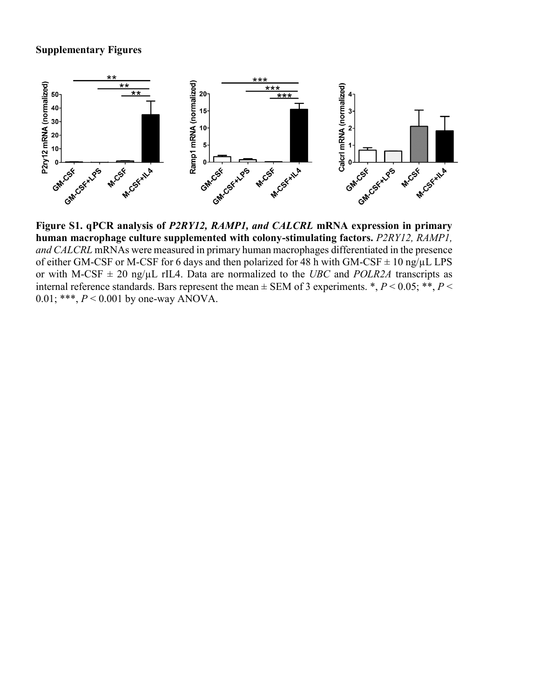## **Supplementary Figures**



**Figure S1. qPCR analysis of** *P2RY12, RAMP1, and CALCRL* **mRNA expression in primary**  human macrophage culture supplemented with colony-stimulating factors. *P2RY12*, *RAMP1*, *and CALCRL* mRNAs were measured in primary human macrophages differentiated in the presence of either GM-CSF or M-CSF for 6 days and then polarized for 48 h with GM-CSF  $\pm$  10 ng/ $\mu$ L LPS or with M-CSF  $\pm$  20 ng/ $\mu$ L rIL4. Data are normalized to the *UBC* and *POLR2A* transcripts as internal reference standards. Bars represent the mean  $\pm$  SEM of 3 experiments. \*, *P* < 0.05; \*\*, *P* < 0.01; \*\*\*, *P* < 0.001 by one-way ANOVA.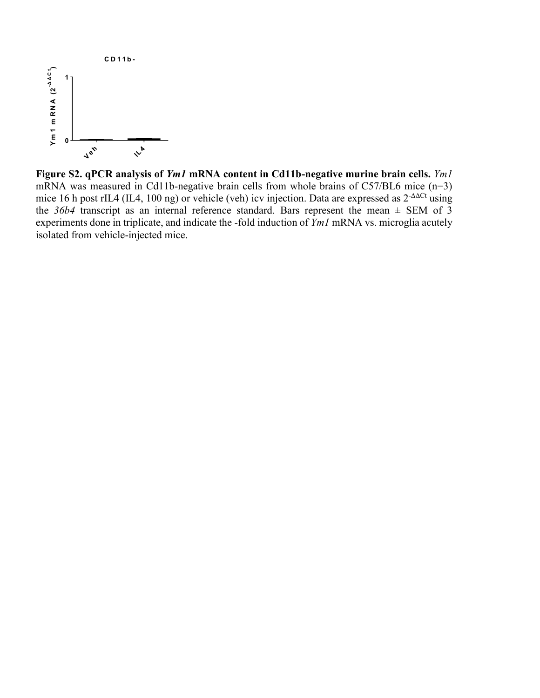

**Figure S2. qPCR analysis of** *Ym1* **mRNA content in Cd11b-negative murine brain cells.** *Ym1* mRNA was measured in Cd11b-negative brain cells from whole brains of C57/BL6 mice (n=3) mice 16 h post rIL4 (IL4, 100 ng) or vehicle (veh) icv injection. Data are expressed as 2<sup>-ΔΔCt</sup> using the  $36b4$  transcript as an internal reference standard. Bars represent the mean  $\pm$  SEM of 3 experiments done in triplicate, and indicate the -fold induction of *Ym1* mRNA vs. microglia acutely isolated from vehicle-injected mice. Supplementary Figure 2.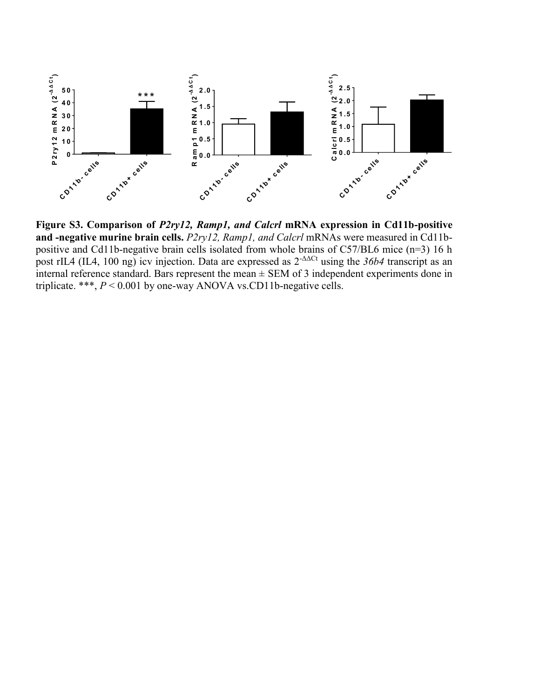

**Figure S3. Comparison of** *P2ry12, Ramp1, and Calcrl* **mRNA expression in Cd11b-positive and -negative murine brain cells.** *P2ry12, Ramp1, and Calcrl* mRNAs were measured in Cd11bpositive and Cd11b-negative brain cells isolated from whole brains of C57/BL6 mice (n=3) 16 h post rIL4 (IL4, 100 ng) icv injection. Data are expressed as 2-ΔΔCt using the *36b4* transcript as an internal reference standard. Bars represent the mean  $\pm$  SEM of 3 independent experiments done in triplicate. \*\*\*, *P* < 0.001 by one-way ANOVA vs.CD11b-negative cells.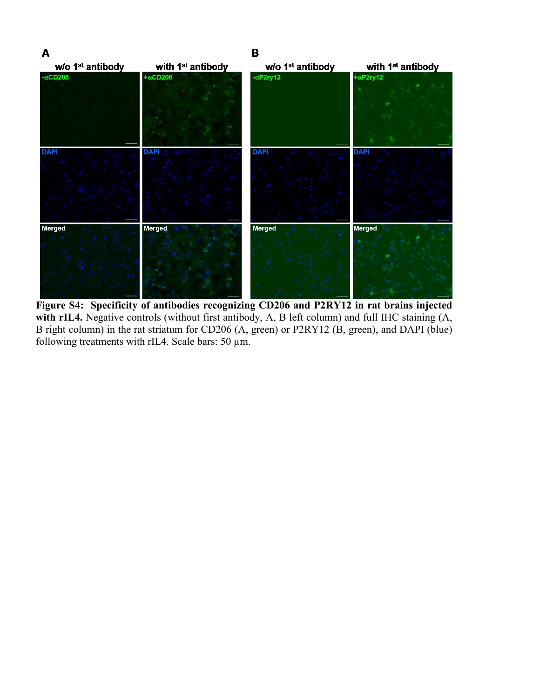

**Figure S4: Specificity of antibodies recognizing CD206 and P2RY12 in rat brains injected**  with rIL4. Negative controls (without first antibody, A, B left column) and full IHC staining (A, B right column) in the rat striatum for CD206 (A, green) or P2RY12 (B, green), and DAPI (blue) following treatments with rIL4. Scale bars: 50 µm.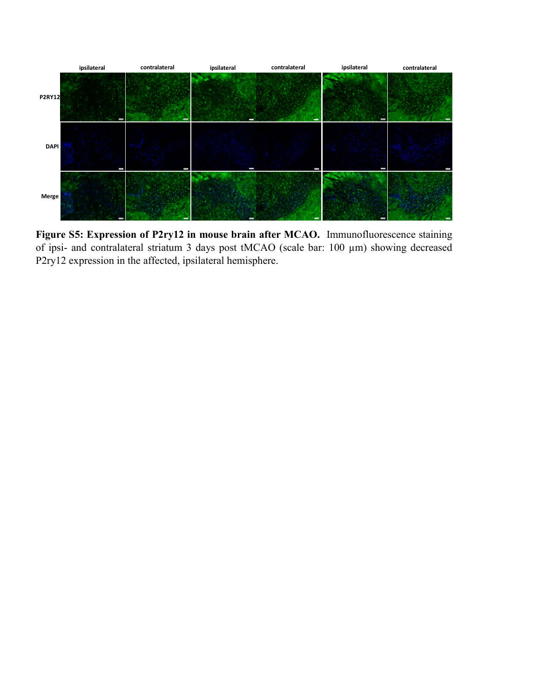

**Figure S5: Expression of P2ry12 in mouse brain after MCAO.** Immunofluorescence staining of ipsi- and contralateral striatum 3 days post tMCAO (scale bar: 100 µm) showing decreased P2ry12 expression in the affected, ipsilateral hemisphere.